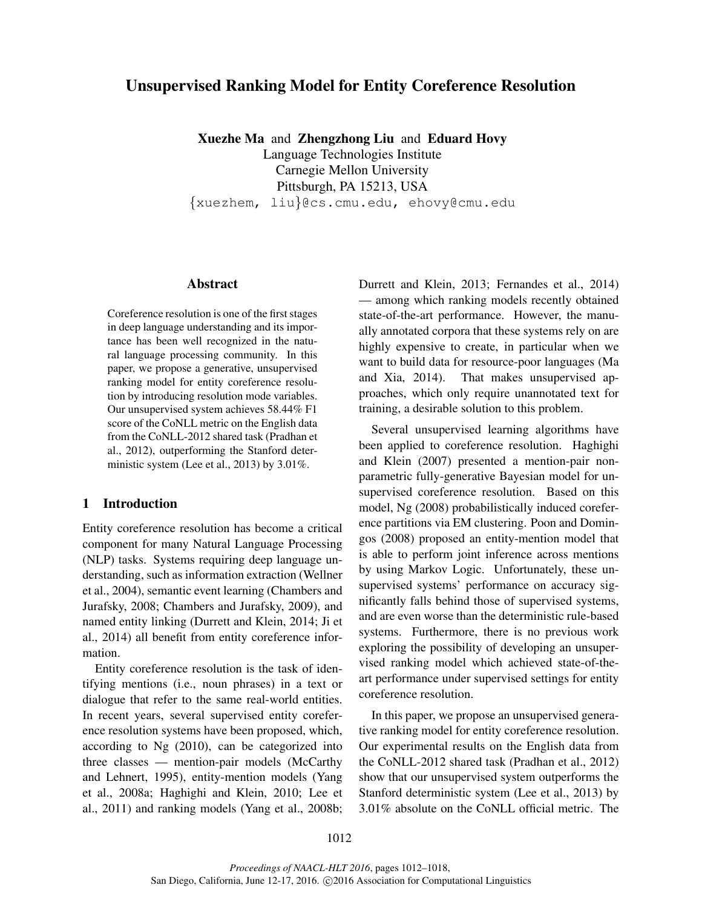# Unsupervised Ranking Model for Entity Coreference Resolution

Xuezhe Ma and Zhengzhong Liu and Eduard Hovy

Language Technologies Institute Carnegie Mellon University Pittsburgh, PA 15213, USA {xuezhem, liu}@cs.cmu.edu, ehovy@cmu.edu

#### Abstract

Coreference resolution is one of the first stages in deep language understanding and its importance has been well recognized in the natural language processing community. In this paper, we propose a generative, unsupervised ranking model for entity coreference resolution by introducing resolution mode variables. Our unsupervised system achieves 58.44% F1 score of the CoNLL metric on the English data from the CoNLL-2012 shared task (Pradhan et al., 2012), outperforming the Stanford deterministic system (Lee et al., 2013) by 3.01%.

# 1 Introduction

Entity coreference resolution has become a critical component for many Natural Language Processing (NLP) tasks. Systems requiring deep language understanding, such as information extraction (Wellner et al., 2004), semantic event learning (Chambers and Jurafsky, 2008; Chambers and Jurafsky, 2009), and named entity linking (Durrett and Klein, 2014; Ji et al., 2014) all benefit from entity coreference information.

Entity coreference resolution is the task of identifying mentions (i.e., noun phrases) in a text or dialogue that refer to the same real-world entities. In recent years, several supervised entity coreference resolution systems have been proposed, which, according to Ng (2010), can be categorized into three classes — mention-pair models (McCarthy and Lehnert, 1995), entity-mention models (Yang et al., 2008a; Haghighi and Klein, 2010; Lee et al., 2011) and ranking models (Yang et al., 2008b; Durrett and Klein, 2013; Fernandes et al., 2014) — among which ranking models recently obtained state-of-the-art performance. However, the manually annotated corpora that these systems rely on are highly expensive to create, in particular when we want to build data for resource-poor languages (Ma and Xia, 2014). That makes unsupervised approaches, which only require unannotated text for training, a desirable solution to this problem.

Several unsupervised learning algorithms have been applied to coreference resolution. Haghighi and Klein (2007) presented a mention-pair nonparametric fully-generative Bayesian model for unsupervised coreference resolution. Based on this model, Ng (2008) probabilistically induced coreference partitions via EM clustering. Poon and Domingos (2008) proposed an entity-mention model that is able to perform joint inference across mentions by using Markov Logic. Unfortunately, these unsupervised systems' performance on accuracy significantly falls behind those of supervised systems, and are even worse than the deterministic rule-based systems. Furthermore, there is no previous work exploring the possibility of developing an unsupervised ranking model which achieved state-of-theart performance under supervised settings for entity coreference resolution.

In this paper, we propose an unsupervised generative ranking model for entity coreference resolution. Our experimental results on the English data from the CoNLL-2012 shared task (Pradhan et al., 2012) show that our unsupervised system outperforms the Stanford deterministic system (Lee et al., 2013) by 3.01% absolute on the CoNLL official metric. The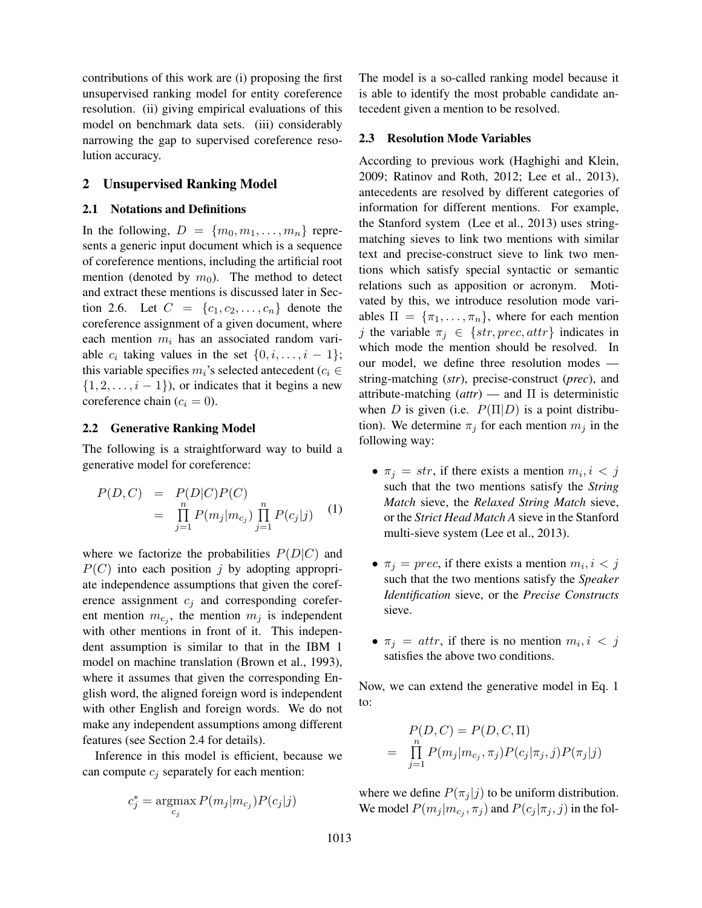contributions of this work are (i) proposing the first unsupervised ranking model for entity coreference resolution. (ii) giving empirical evaluations of this model on benchmark data sets. (iii) considerably narrowing the gap to supervised coreference resolution accuracy.

# 2 Unsupervised Ranking Model

# 2.1 Notations and Definitions

In the following,  $D = \{m_0, m_1, \ldots, m_n\}$  represents a generic input document which is a sequence of coreference mentions, including the artificial root mention (denoted by  $m_0$ ). The method to detect and extract these mentions is discussed later in Section 2.6. Let  $C = \{c_1, c_2, ..., c_n\}$  denote the coreference assignment of a given document, where each mention  $m_i$  has an associated random variable  $c_i$  taking values in the set  $\{0, i, \ldots, i-1\};$ this variable specifies  $m_i$ 's selected antecedent ( $c_i \in$  $\{1, 2, \ldots, i - 1\}$ , or indicates that it begins a new coreference chain  $(c_i = 0)$ .

# 2.2 Generative Ranking Model

The following is a straightforward way to build a generative model for coreference:

$$
P(D, C) = P(D|C)P(C)
$$
  
= 
$$
\prod_{j=1}^{n} P(m_j|m_{c_j}) \prod_{j=1}^{n} P(c_j|j)
$$
 (1)

where we factorize the probabilities  $P(D|C)$  and  $P(C)$  into each position j by adopting appropriate independence assumptions that given the coreference assignment  $c_i$  and corresponding coreferent mention  $m_{c_j}$ , the mention  $m_j$  is independent with other mentions in front of it. This independent assumption is similar to that in the IBM 1 model on machine translation (Brown et al., 1993), where it assumes that given the corresponding English word, the aligned foreign word is independent with other English and foreign words. We do not make any independent assumptions among different features (see Section 2.4 for details).

Inference in this model is efficient, because we can compute  $c_j$  separately for each mention:

$$
c_j^* = \operatorname*{argmax}_{c_j} P(m_j|m_{c_j}) P(c_j|j)
$$

The model is a so-called ranking model because it is able to identify the most probable candidate antecedent given a mention to be resolved.

# 2.3 Resolution Mode Variables

According to previous work (Haghighi and Klein, 2009; Ratinov and Roth, 2012; Lee et al., 2013), antecedents are resolved by different categories of information for different mentions. For example, the Stanford system (Lee et al., 2013) uses stringmatching sieves to link two mentions with similar text and precise-construct sieve to link two mentions which satisfy special syntactic or semantic relations such as apposition or acronym. Motivated by this, we introduce resolution mode variables  $\Pi = {\pi_1, \ldots, \pi_n}$ , where for each mention j the variable  $\pi_j \in \{str, prec, attr\}$  indicates in which mode the mention should be resolved. In our model, we define three resolution modes string-matching (*str*), precise-construct (*prec*), and attribute-matching (*attr*) — and Π is deterministic when D is given (i.e.  $P(\Pi|D)$  is a point distribution). We determine  $\pi_i$  for each mention  $m_i$  in the following way:

- $\pi_j = str$ , if there exists a mention  $m_i, i < j$ such that the two mentions satisfy the *String Match* sieve, the *Relaxed String Match* sieve, or the *Strict Head Match A* sieve in the Stanford multi-sieve system (Lee et al., 2013).
- $\pi_j = \text{prec}$ , if there exists a mention  $m_i, i < j$ such that the two mentions satisfy the *Speaker Identification* sieve, or the *Precise Constructs* sieve.
- $\pi_j = \text{attr}$ , if there is no mention  $m_i, i < j$ satisfies the above two conditions.

Now, we can extend the generative model in Eq. 1 to:

$$
P(D, C) = P(D, C, \Pi)
$$
  
= 
$$
\prod_{j=1}^{n} P(m_j | m_{c_j}, \pi_j) P(c_j | \pi_j, j) P(\pi_j | j)
$$

where we define  $P(\pi_j | j)$  to be uniform distribution. We model  $P(m_j | m_{c_j}, \pi_j)$  and  $P(c_j | \pi_j, j)$  in the fol-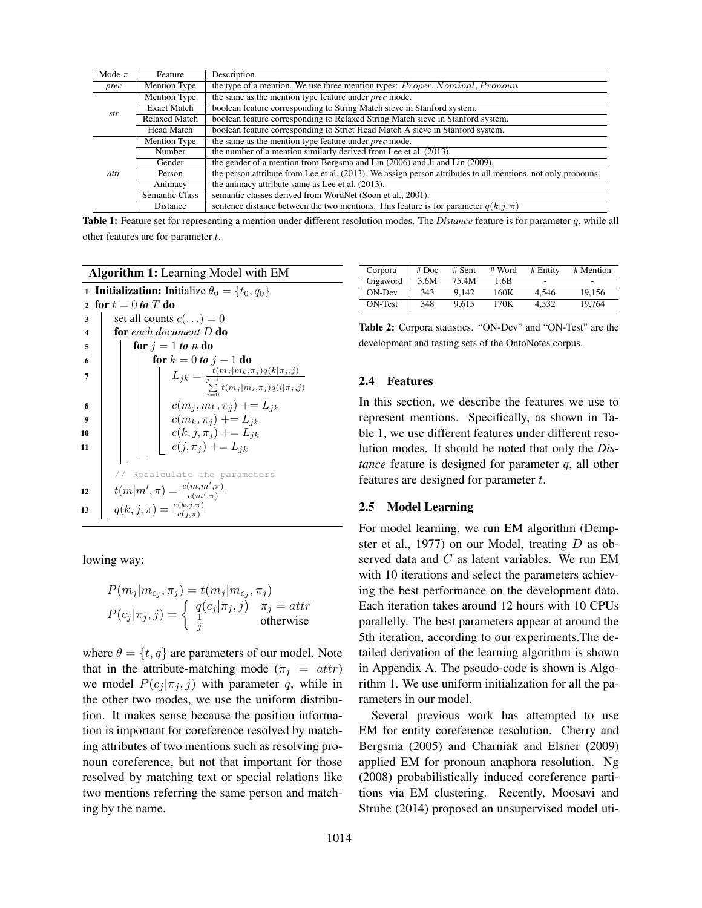| Mode $\pi$ | Feature              | Description                                                                                                  |  |  |  |  |  |
|------------|----------------------|--------------------------------------------------------------------------------------------------------------|--|--|--|--|--|
| prec       | Mention Type         | the type of a mention. We use three mention types: <i>Proper</i> , <i>Nominal</i> , <i>Pronoun</i>           |  |  |  |  |  |
| str        | Mention Type         | the same as the mention type feature under <i>prec</i> mode.                                                 |  |  |  |  |  |
|            | <b>Exact Match</b>   | boolean feature corresponding to String Match sieve in Stanford system.                                      |  |  |  |  |  |
|            | <b>Relaxed Match</b> | boolean feature corresponding to Relaxed String Match sieve in Stanford system.                              |  |  |  |  |  |
|            | <b>Head Match</b>    | boolean feature corresponding to Strict Head Match A sieve in Stanford system.                               |  |  |  |  |  |
| attr       | Mention Type         | the same as the mention type feature under <i>prec</i> mode.                                                 |  |  |  |  |  |
|            | Number               | the number of a mention similarly derived from Lee et al. (2013).                                            |  |  |  |  |  |
|            | Gender               | the gender of a mention from Bergsma and Lin (2006) and Ji and Lin (2009).                                   |  |  |  |  |  |
|            | Person               | the person attribute from Lee et al. (2013). We assign person attributes to all mentions, not only pronouns. |  |  |  |  |  |
|            | Animacy              | the animacy attribute same as Lee et al. (2013).                                                             |  |  |  |  |  |
|            | Semantic Class       | semantic classes derived from WordNet (Soon et al., 2001).                                                   |  |  |  |  |  |
|            | Distance             | sentence distance between the two mentions. This feature is for parameter $q(k i, \pi)$                      |  |  |  |  |  |

Table 1: Feature set for representing a mention under different resolution modes. The *Distance* feature is for parameter q, while all other features are for parameter  $t$ .

Algorithm 1: Learning Model with EM

| $\mathbf{1}$            | <b>Initialization:</b> Initialize $\theta_0 = \{t_0, q_0\}$ |                                                       |  |  |  |  |  |  |  |  |  |
|-------------------------|-------------------------------------------------------------|-------------------------------------------------------|--|--|--|--|--|--|--|--|--|
| $\mathbf{2}$            | for $t=0$ to T do                                           |                                                       |  |  |  |  |  |  |  |  |  |
| 3                       |                                                             | set all counts $c(\ldots) = 0$                        |  |  |  |  |  |  |  |  |  |
| $\overline{\mathbf{4}}$ |                                                             | for each document $D$ do                              |  |  |  |  |  |  |  |  |  |
| 5                       |                                                             | for $j = 1$ to n do                                   |  |  |  |  |  |  |  |  |  |
| 6                       |                                                             | <b>for</b> $k = 0$ to $j - 1$ do                      |  |  |  |  |  |  |  |  |  |
| 7                       |                                                             | $L_{jk} = \frac{t(m_j m_k, \pi_j)q(k \pi_j, j)}{j-1}$ |  |  |  |  |  |  |  |  |  |
|                         |                                                             | $\sum t(m_i m_i,\pi_i)q(i \pi_i,j)$                   |  |  |  |  |  |  |  |  |  |
| 8                       |                                                             | $c(m_i, m_k, \pi_j)$ += $L_{jk}$                      |  |  |  |  |  |  |  |  |  |
| 9                       |                                                             | $c(m_k, \pi_i)$ += $L_{ik}$                           |  |  |  |  |  |  |  |  |  |
| 10                      |                                                             | $c(k, j, \pi_i)$ += $L_{ik}$                          |  |  |  |  |  |  |  |  |  |
| 11                      |                                                             | $c(j, \pi_i)$ += $L_{ik}$                             |  |  |  |  |  |  |  |  |  |
|                         |                                                             |                                                       |  |  |  |  |  |  |  |  |  |
|                         |                                                             | // Recalculate the parameters                         |  |  |  |  |  |  |  |  |  |
| 12                      |                                                             | $t(m m', \pi) = \frac{c(m,m',\pi)}{c(m',\pi)}$        |  |  |  |  |  |  |  |  |  |
|                         |                                                             |                                                       |  |  |  |  |  |  |  |  |  |
| 13                      |                                                             | $q(k, j, \pi) = \frac{c(k, j, \pi)}{c(i, \pi)}$       |  |  |  |  |  |  |  |  |  |
|                         |                                                             |                                                       |  |  |  |  |  |  |  |  |  |

lowing way:

$$
P(m_j|m_{c_j}, \pi_j) = t(m_j|m_{c_j}, \pi_j)
$$
  

$$
P(c_j|\pi_j, j) = \begin{cases} q(c_j|\pi_j, j) & \pi_j = attr \\ \frac{1}{j} & otherwise \end{cases}
$$

where  $\theta = \{t, q\}$  are parameters of our model. Note that in the attribute-matching mode ( $\pi_i = attr$ ) we model  $P(c_i | \pi_i, j)$  with parameter q, while in the other two modes, we use the uniform distribution. It makes sense because the position information is important for coreference resolved by matching attributes of two mentions such as resolving pronoun coreference, but not that important for those resolved by matching text or special relations like two mentions referring the same person and matching by the name.

| Corpora  | # Doc | $#$ Sent | # Word | $#$ Entity | # Mention |
|----------|-------|----------|--------|------------|-----------|
| Gigaword | 3.6M  | 75.4M    | 1.6B   | ٠          | -         |
| ON-Dev   | 343   | 9.142    | 160K   | 4.546      | 19.156    |
| ON-Test  | 348   | 9.615    | 170K   | 4.532      | 19.764    |

Table 2: Corpora statistics. "ON-Dev" and "ON-Test" are the development and testing sets of the OntoNotes corpus.

#### 2.4 Features

In this section, we describe the features we use to represent mentions. Specifically, as shown in Table 1, we use different features under different resolution modes. It should be noted that only the *Distance* feature is designed for parameter q, all other features are designed for parameter t.

#### 2.5 Model Learning

For model learning, we run EM algorithm (Dempster et al., 1977) on our Model, treating D as observed data and C as latent variables. We run EM with 10 iterations and select the parameters achieving the best performance on the development data. Each iteration takes around 12 hours with 10 CPUs parallelly. The best parameters appear at around the 5th iteration, according to our experiments.The detailed derivation of the learning algorithm is shown in Appendix A. The pseudo-code is shown is Algorithm 1. We use uniform initialization for all the parameters in our model.

Several previous work has attempted to use EM for entity coreference resolution. Cherry and Bergsma (2005) and Charniak and Elsner (2009) applied EM for pronoun anaphora resolution. Ng (2008) probabilistically induced coreference partitions via EM clustering. Recently, Moosavi and Strube (2014) proposed an unsupervised model uti-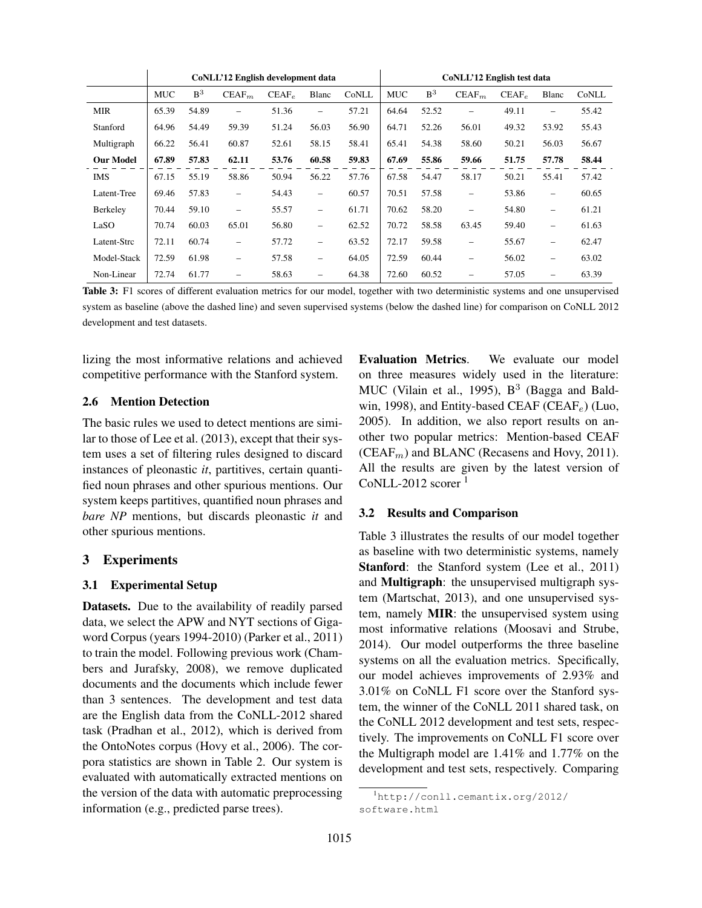|                  | CoNLL'12 English development data |                |                          |          |                          |       | CoNLL'12 English test data |                |                          |          |                          |       |
|------------------|-----------------------------------|----------------|--------------------------|----------|--------------------------|-------|----------------------------|----------------|--------------------------|----------|--------------------------|-------|
|                  | <b>MUC</b>                        | B <sup>3</sup> | $CEAF_m$                 | $CEAF_e$ | Blanc                    | CoNLL | <b>MUC</b>                 | B <sup>3</sup> | $CEAF_m$                 | $CEAF_e$ | Blanc                    | CoNLL |
| <b>MIR</b>       | 65.39                             | 54.89          | $\overline{\phantom{0}}$ | 51.36    | $\overline{\phantom{0}}$ | 57.21 | 64.64                      | 52.52          |                          | 49.11    | $\qquad \qquad -$        | 55.42 |
| Stanford         | 64.96                             | 54.49          | 59.39                    | 51.24    | 56.03                    | 56.90 | 64.71                      | 52.26          | 56.01                    | 49.32    | 53.92                    | 55.43 |
| Multigraph       | 66.22                             | 56.41          | 60.87                    | 52.61    | 58.15                    | 58.41 | 65.41                      | 54.38          | 58.60                    | 50.21    | 56.03                    | 56.67 |
| <b>Our Model</b> | 67.89                             | 57.83          | 62.11                    | 53.76    | 60.58                    | 59.83 | 67.69                      | 55.86          | 59.66                    | 51.75    | 57.78                    | 58.44 |
| <b>IMS</b>       | 67.15                             | 55.19          | 58.86                    | 50.94    | 56.22                    | 57.76 | 67.58                      | 54.47          | 58.17                    | 50.21    | 55.41                    | 57.42 |
| Latent-Tree      | 69.46                             | 57.83          | $\overline{\phantom{0}}$ | 54.43    | $\overline{\phantom{0}}$ | 60.57 | 70.51                      | 57.58          | $\overline{\phantom{0}}$ | 53.86    | $\overline{\phantom{0}}$ | 60.65 |
| Berkeley         | 70.44                             | 59.10          | $\overline{\phantom{0}}$ | 55.57    | $\overline{\phantom{0}}$ | 61.71 | 70.62                      | 58.20          | -                        | 54.80    | $\overline{\phantom{0}}$ | 61.21 |
| LaSO             | 70.74                             | 60.03          | 65.01                    | 56.80    | $\overline{\phantom{0}}$ | 62.52 | 70.72                      | 58.58          | 63.45                    | 59.40    | $\overline{\phantom{0}}$ | 61.63 |
| Latent-Strc      | 72.11                             | 60.74          | $\overline{\phantom{0}}$ | 57.72    | $\overline{\phantom{0}}$ | 63.52 | 72.17                      | 59.58          | $\overline{\phantom{0}}$ | 55.67    | $\overline{\phantom{0}}$ | 62.47 |
| Model-Stack      | 72.59                             | 61.98          | $\overline{\phantom{0}}$ | 57.58    | $\overline{\phantom{0}}$ | 64.05 | 72.59                      | 60.44          | $\overline{\phantom{0}}$ | 56.02    | $\overline{\phantom{0}}$ | 63.02 |
| Non-Linear       | 72.74                             | 61.77          |                          | 58.63    | $\overline{\phantom{0}}$ | 64.38 | 72.60                      | 60.52          |                          | 57.05    | $\overline{\phantom{0}}$ | 63.39 |

Table 3: F1 scores of different evaluation metrics for our model, together with two deterministic systems and one unsupervised system as baseline (above the dashed line) and seven supervised systems (below the dashed line) for comparison on CoNLL 2012 development and test datasets.

lizing the most informative relations and achieved competitive performance with the Stanford system.

#### 2.6 Mention Detection

The basic rules we used to detect mentions are similar to those of Lee et al. (2013), except that their system uses a set of filtering rules designed to discard instances of pleonastic *it*, partitives, certain quantified noun phrases and other spurious mentions. Our system keeps partitives, quantified noun phrases and *bare NP* mentions, but discards pleonastic *it* and other spurious mentions.

# 3 Experiments

#### 3.1 Experimental Setup

Datasets. Due to the availability of readily parsed data, we select the APW and NYT sections of Gigaword Corpus (years 1994-2010) (Parker et al., 2011) to train the model. Following previous work (Chambers and Jurafsky, 2008), we remove duplicated documents and the documents which include fewer than 3 sentences. The development and test data are the English data from the CoNLL-2012 shared task (Pradhan et al., 2012), which is derived from the OntoNotes corpus (Hovy et al., 2006). The corpora statistics are shown in Table 2. Our system is evaluated with automatically extracted mentions on the version of the data with automatic preprocessing information (e.g., predicted parse trees).

Evaluation Metrics. We evaluate our model on three measures widely used in the literature: MUC (Vilain et al., 1995),  $B^3$  (Bagga and Baldwin, 1998), and Entity-based CEAF (CEAF<sub>e</sub>) (Luo, 2005). In addition, we also report results on another two popular metrics: Mention-based CEAF  $(CEAF_m)$  and BLANC (Recasens and Hovy, 2011). All the results are given by the latest version of CoNLL-2012 scorer  $<sup>1</sup>$ </sup>

#### 3.2 Results and Comparison

Table 3 illustrates the results of our model together as baseline with two deterministic systems, namely Stanford: the Stanford system (Lee et al., 2011) and Multigraph: the unsupervised multigraph system (Martschat, 2013), and one unsupervised system, namely MIR: the unsupervised system using most informative relations (Moosavi and Strube, 2014). Our model outperforms the three baseline systems on all the evaluation metrics. Specifically, our model achieves improvements of 2.93% and 3.01% on CoNLL F1 score over the Stanford system, the winner of the CoNLL 2011 shared task, on the CoNLL 2012 development and test sets, respectively. The improvements on CoNLL F1 score over the Multigraph model are 1.41% and 1.77% on the development and test sets, respectively. Comparing

<sup>1</sup>http://conll.cemantix.org/2012/ software.html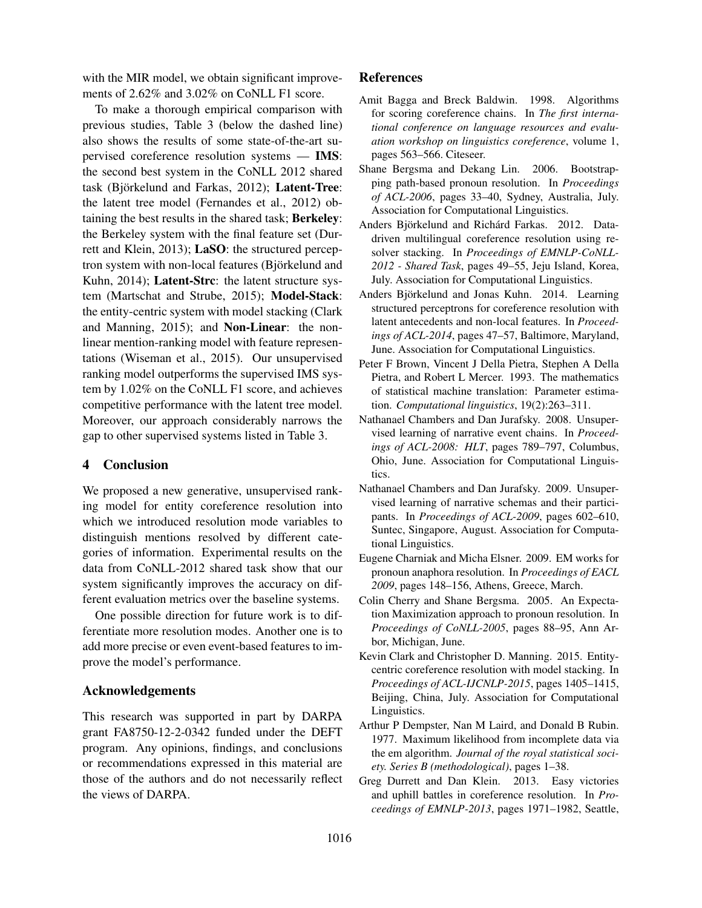with the MIR model, we obtain significant improvements of 2.62% and 3.02% on CoNLL F1 score.

To make a thorough empirical comparison with previous studies, Table 3 (below the dashed line) also shows the results of some state-of-the-art supervised coreference resolution systems — IMS: the second best system in the CoNLL 2012 shared task (Björkelund and Farkas, 2012); Latent-Tree: the latent tree model (Fernandes et al., 2012) obtaining the best results in the shared task; Berkeley: the Berkeley system with the final feature set (Durrett and Klein, 2013); LaSO: the structured perceptron system with non-local features (Björkelund and Kuhn, 2014); Latent-Strc: the latent structure system (Martschat and Strube, 2015); Model-Stack: the entity-centric system with model stacking (Clark and Manning, 2015); and Non-Linear: the nonlinear mention-ranking model with feature representations (Wiseman et al., 2015). Our unsupervised ranking model outperforms the supervised IMS system by 1.02% on the CoNLL F1 score, and achieves competitive performance with the latent tree model. Moreover, our approach considerably narrows the gap to other supervised systems listed in Table 3.

# 4 Conclusion

We proposed a new generative, unsupervised ranking model for entity coreference resolution into which we introduced resolution mode variables to distinguish mentions resolved by different categories of information. Experimental results on the data from CoNLL-2012 shared task show that our system significantly improves the accuracy on different evaluation metrics over the baseline systems.

One possible direction for future work is to differentiate more resolution modes. Another one is to add more precise or even event-based features to improve the model's performance.

#### Acknowledgements

This research was supported in part by DARPA grant FA8750-12-2-0342 funded under the DEFT program. Any opinions, findings, and conclusions or recommendations expressed in this material are those of the authors and do not necessarily reflect the views of DARPA.

# References

- Amit Bagga and Breck Baldwin. 1998. Algorithms for scoring coreference chains. In *The first international conference on language resources and evaluation workshop on linguistics coreference*, volume 1, pages 563–566. Citeseer.
- Shane Bergsma and Dekang Lin. 2006. Bootstrapping path-based pronoun resolution. In *Proceedings of ACL-2006*, pages 33–40, Sydney, Australia, July. Association for Computational Linguistics.
- Anders Björkelund and Richárd Farkas. 2012. Datadriven multilingual coreference resolution using resolver stacking. In *Proceedings of EMNLP-CoNLL-2012 - Shared Task*, pages 49–55, Jeju Island, Korea, July. Association for Computational Linguistics.
- Anders Björkelund and Jonas Kuhn. 2014. Learning structured perceptrons for coreference resolution with latent antecedents and non-local features. In *Proceedings of ACL-2014*, pages 47–57, Baltimore, Maryland, June. Association for Computational Linguistics.
- Peter F Brown, Vincent J Della Pietra, Stephen A Della Pietra, and Robert L Mercer. 1993. The mathematics of statistical machine translation: Parameter estimation. *Computational linguistics*, 19(2):263–311.
- Nathanael Chambers and Dan Jurafsky. 2008. Unsupervised learning of narrative event chains. In *Proceedings of ACL-2008: HLT*, pages 789–797, Columbus, Ohio, June. Association for Computational Linguistics.
- Nathanael Chambers and Dan Jurafsky. 2009. Unsupervised learning of narrative schemas and their participants. In *Proceedings of ACL-2009*, pages 602–610, Suntec, Singapore, August. Association for Computational Linguistics.
- Eugene Charniak and Micha Elsner. 2009. EM works for pronoun anaphora resolution. In *Proceedings of EACL 2009*, pages 148–156, Athens, Greece, March.
- Colin Cherry and Shane Bergsma. 2005. An Expectation Maximization approach to pronoun resolution. In *Proceedings of CoNLL-2005*, pages 88–95, Ann Arbor, Michigan, June.
- Kevin Clark and Christopher D. Manning. 2015. Entitycentric coreference resolution with model stacking. In *Proceedings of ACL-IJCNLP-2015*, pages 1405–1415, Beijing, China, July. Association for Computational Linguistics.
- Arthur P Dempster, Nan M Laird, and Donald B Rubin. 1977. Maximum likelihood from incomplete data via the em algorithm. *Journal of the royal statistical society. Series B (methodological)*, pages 1–38.
- Greg Durrett and Dan Klein. 2013. Easy victories and uphill battles in coreference resolution. In *Proceedings of EMNLP-2013*, pages 1971–1982, Seattle,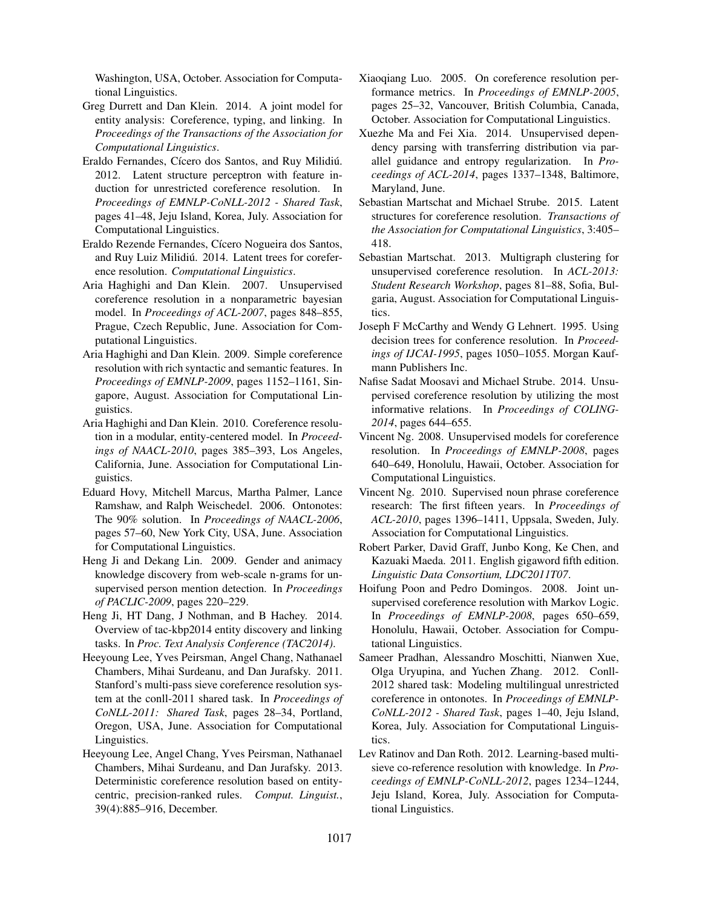Washington, USA, October. Association for Computational Linguistics.

- Greg Durrett and Dan Klein. 2014. A joint model for entity analysis: Coreference, typing, and linking. In *Proceedings of the Transactions of the Association for Computational Linguistics*.
- Eraldo Fernandes, Cícero dos Santos, and Ruy Milidiú. 2012. Latent structure perceptron with feature induction for unrestricted coreference resolution. In *Proceedings of EMNLP-CoNLL-2012 - Shared Task*, pages 41–48, Jeju Island, Korea, July. Association for Computational Linguistics.
- Eraldo Rezende Fernandes, Cícero Nogueira dos Santos, and Ruy Luiz Milidiú. 2014. Latent trees for coreference resolution. *Computational Linguistics*.
- Aria Haghighi and Dan Klein. 2007. Unsupervised coreference resolution in a nonparametric bayesian model. In *Proceedings of ACL-2007*, pages 848–855, Prague, Czech Republic, June. Association for Computational Linguistics.
- Aria Haghighi and Dan Klein. 2009. Simple coreference resolution with rich syntactic and semantic features. In *Proceedings of EMNLP-2009*, pages 1152–1161, Singapore, August. Association for Computational Linguistics.
- Aria Haghighi and Dan Klein. 2010. Coreference resolution in a modular, entity-centered model. In *Proceedings of NAACL-2010*, pages 385–393, Los Angeles, California, June. Association for Computational Linguistics.
- Eduard Hovy, Mitchell Marcus, Martha Palmer, Lance Ramshaw, and Ralph Weischedel. 2006. Ontonotes: The 90% solution. In *Proceedings of NAACL-2006*, pages 57–60, New York City, USA, June. Association for Computational Linguistics.
- Heng Ji and Dekang Lin. 2009. Gender and animacy knowledge discovery from web-scale n-grams for unsupervised person mention detection. In *Proceedings of PACLIC-2009*, pages 220–229.
- Heng Ji, HT Dang, J Nothman, and B Hachey. 2014. Overview of tac-kbp2014 entity discovery and linking tasks. In *Proc. Text Analysis Conference (TAC2014)*.
- Heeyoung Lee, Yves Peirsman, Angel Chang, Nathanael Chambers, Mihai Surdeanu, and Dan Jurafsky. 2011. Stanford's multi-pass sieve coreference resolution system at the conll-2011 shared task. In *Proceedings of CoNLL-2011: Shared Task*, pages 28–34, Portland, Oregon, USA, June. Association for Computational Linguistics.
- Heeyoung Lee, Angel Chang, Yves Peirsman, Nathanael Chambers, Mihai Surdeanu, and Dan Jurafsky. 2013. Deterministic coreference resolution based on entitycentric, precision-ranked rules. *Comput. Linguist.*, 39(4):885–916, December.
- Xiaoqiang Luo. 2005. On coreference resolution performance metrics. In *Proceedings of EMNLP-2005*, pages 25–32, Vancouver, British Columbia, Canada, October. Association for Computational Linguistics.
- Xuezhe Ma and Fei Xia. 2014. Unsupervised dependency parsing with transferring distribution via parallel guidance and entropy regularization. In *Proceedings of ACL-2014*, pages 1337–1348, Baltimore, Maryland, June.
- Sebastian Martschat and Michael Strube. 2015. Latent structures for coreference resolution. *Transactions of the Association for Computational Linguistics*, 3:405– 418.
- Sebastian Martschat. 2013. Multigraph clustering for unsupervised coreference resolution. In *ACL-2013: Student Research Workshop*, pages 81–88, Sofia, Bulgaria, August. Association for Computational Linguistics.
- Joseph F McCarthy and Wendy G Lehnert. 1995. Using decision trees for conference resolution. In *Proceedings of IJCAI-1995*, pages 1050–1055. Morgan Kaufmann Publishers Inc.
- Nafise Sadat Moosavi and Michael Strube. 2014. Unsupervised coreference resolution by utilizing the most informative relations. In *Proceedings of COLING-2014*, pages 644–655.
- Vincent Ng. 2008. Unsupervised models for coreference resolution. In *Proceedings of EMNLP-2008*, pages 640–649, Honolulu, Hawaii, October. Association for Computational Linguistics.
- Vincent Ng. 2010. Supervised noun phrase coreference research: The first fifteen years. In *Proceedings of ACL-2010*, pages 1396–1411, Uppsala, Sweden, July. Association for Computational Linguistics.
- Robert Parker, David Graff, Junbo Kong, Ke Chen, and Kazuaki Maeda. 2011. English gigaword fifth edition. *Linguistic Data Consortium, LDC2011T07*.
- Hoifung Poon and Pedro Domingos. 2008. Joint unsupervised coreference resolution with Markov Logic. In *Proceedings of EMNLP-2008*, pages 650–659, Honolulu, Hawaii, October. Association for Computational Linguistics.
- Sameer Pradhan, Alessandro Moschitti, Nianwen Xue, Olga Uryupina, and Yuchen Zhang. 2012. Conll-2012 shared task: Modeling multilingual unrestricted coreference in ontonotes. In *Proceedings of EMNLP-CoNLL-2012 - Shared Task*, pages 1–40, Jeju Island, Korea, July. Association for Computational Linguistics.
- Lev Ratinov and Dan Roth. 2012. Learning-based multisieve co-reference resolution with knowledge. In *Proceedings of EMNLP-CoNLL-2012*, pages 1234–1244, Jeju Island, Korea, July. Association for Computational Linguistics.